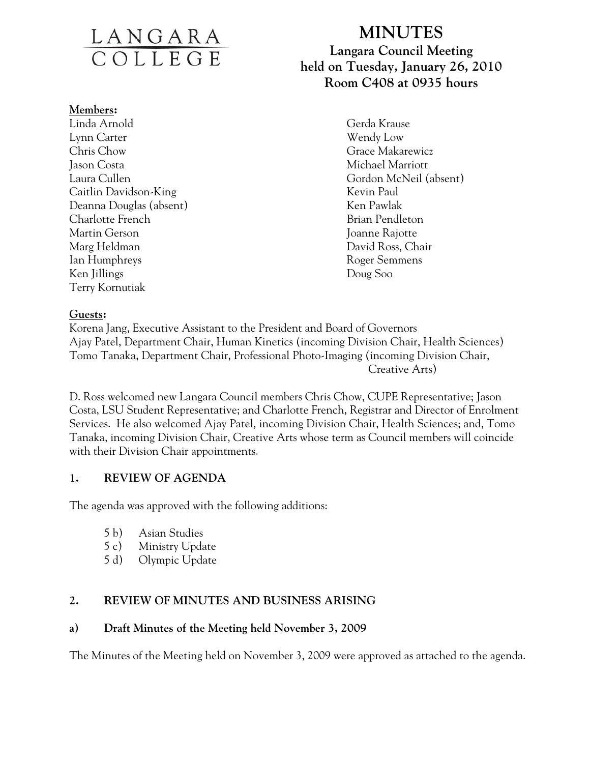# LANGARA

#### **Members:**

Linda Arnold Gerda Krause Lynn Carter Wendy Low Chris Chow Grace Makarewicz Jason Costa **Michael Marriott** Caitlin Davidson-King Kevin Paul Deanna Douglas (absent) Ken Pawlak Charlotte French Brian Pendleton Brian Pendleton Martin Gerson Joanne Rajotte Marg Heldman David Ross, Chair Ian Humphreys **Roger Semmens** Ken Jillings Doug Soo Terry Kornutiak

## **MINUTES Langara Council Meeting held on Tuesday, January 26, 2010 Room C408 at 0935 hours**

Laura Cullen Gordon McNeil (absent)

#### **Guests:**

Korena Jang, Executive Assistant to the President and Board of Governors Ajay Patel, Department Chair, Human Kinetics (incoming Division Chair, Health Sciences) Tomo Tanaka, Department Chair, Professional Photo-Imaging (incoming Division Chair, Creative Arts)

D. Ross welcomed new Langara Council members Chris Chow, CUPE Representative; Jason Costa, LSU Student Representative; and Charlotte French, Registrar and Director of Enrolment Services. He also welcomed Ajay Patel, incoming Division Chair, Health Sciences; and, Tomo Tanaka, incoming Division Chair, Creative Arts whose term as Council members will coincide with their Division Chair appointments.

#### **1. REVIEW OF AGENDA**

The agenda was approved with the following additions:

- 5 b) Asian Studies
- 5 c) Ministry Update
- 5 d) Olympic Update

#### **2. REVIEW OF MINUTES AND BUSINESS ARISING**

#### **a) Draft Minutes of the Meeting held November 3, 2009**

The Minutes of the Meeting held on November 3, 2009 were approved as attached to the agenda.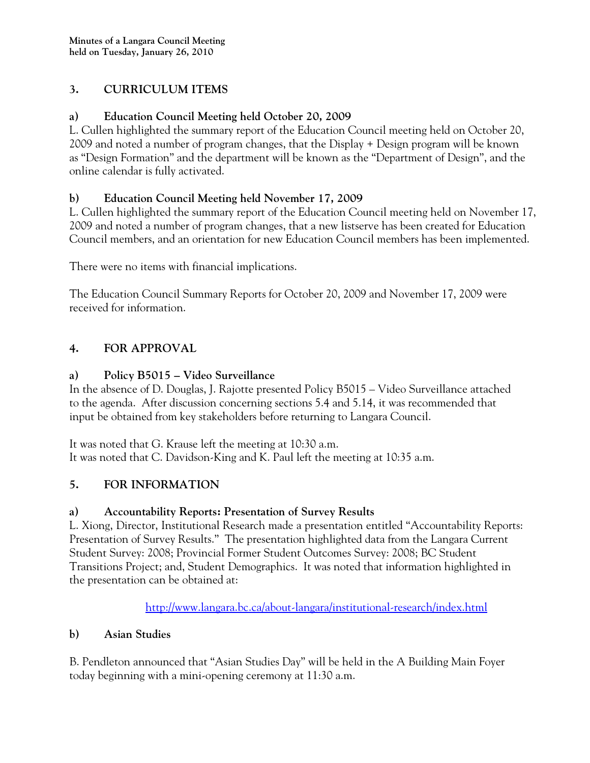#### **3. CURRICULUM ITEMS**

#### **a) Education Council Meeting held October 20, 2009**

L. Cullen highlighted the summary report of the Education Council meeting held on October 20, 2009 and noted a number of program changes, that the Display + Design program will be known as "Design Formation" and the department will be known as the "Department of Design", and the online calendar is fully activated.

#### **b) Education Council Meeting held November 17, 2009**

L. Cullen highlighted the summary report of the Education Council meeting held on November 17, 2009 and noted a number of program changes, that a new listserve has been created for Education Council members, and an orientation for new Education Council members has been implemented.

There were no items with financial implications.

The Education Council Summary Reports for October 20, 2009 and November 17, 2009 were received for information.

### **4. FOR APPROVAL**

#### **a) Policy B5015 – Video Surveillance**

In the absence of D. Douglas, J. Rajotte presented Policy B5015 – Video Surveillance attached to the agenda. After discussion concerning sections 5.4 and 5.14, it was recommended that input be obtained from key stakeholders before returning to Langara Council.

It was noted that G. Krause left the meeting at 10:30 a.m. It was noted that C. Davidson-King and K. Paul left the meeting at 10:35 a.m.

#### **5. FOR INFORMATION**

#### **a) Accountability Reports: Presentation of Survey Results**

L. Xiong, Director, Institutional Research made a presentation entitled "Accountability Reports: Presentation of Survey Results." The presentation highlighted data from the Langara Current Student Survey: 2008; Provincial Former Student Outcomes Survey: 2008; BC Student Transitions Project; and, Student Demographics. It was noted that information highlighted in the presentation can be obtained at:

http://www.langara.bc.ca/about-langara/institutional-research/index.html

#### **b) Asian Studies**

B. Pendleton announced that "Asian Studies Day" will be held in the A Building Main Foyer today beginning with a mini-opening ceremony at 11:30 a.m.